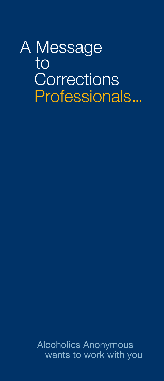# A Message to **Corrections** Professionals...

Alcoholics Anonymous wants to work with you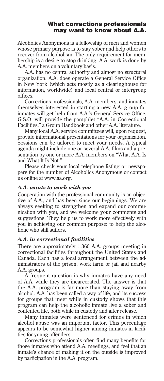## What corrections professionals may want to know about A.A.

Alcoholics Anonymous is a fellowship of men and women whose primary purpose is to stay sober and help others to recover from alcoholism. The only requirement for membership is a desire to stop drinking. A.A. work is done by A.A. members on a voluntary basis.

A.A. has no central authority and almost no structural organization. A.A. does operate a General Service Office in New York (which acts mostly as a clearinghouse for information, worldwide) and local central or intergroup offices.

Corrections professionals, A.A. members, and inmates themselves interested in starting a new A.A. group for inmates will get help from A.A.'s General Service Office. G.S.O. will provide the pamphlet "A.A. in Correctional Facilities," a Group Handbook and other A.A. literature.

Many local A.A. service committees will, upon request, provide informational presentations for your organization. Sessions can be tailored to meet your needs. A typical agenda might include one or several A.A. films and a presentation by one or more A.A. members on "What A.A. Is and What It Is Not."

Please check your local telephone listing or newspapers for the number of Alcoholics Anonymous or contact us online at www.aa.org.

#### *A.A. wants to work with you*

Cooperation with the professional community is an objective of A.A., and has been since our beginnings. We are always seeking to strengthen and expand our communication with you, and we welcome your comments and suggestions. They help us to work more effectively with you in achieving our common purpose: to help the alcoholic who still suffers.

## *A.A. in correctional facilities*

There are approximately 1,360 A.A. groups meeting in correctional facilities throughout the United States and Canada. Each has a local arrangement between the administrators of the prison, work farm or jail and nearby A.A. groups.

A frequent question is why inmates have any need of A.A. while they are incarcerated. The answer is that the A.A. program is far more than staying away from alcohol. A.A. has been called a way of life, and its success for groups that meet while in custody shows that this program can help the alcoholic inmate live a sober and contented life, both while in custody and after release.

Many inmates were sentenced for crimes in which alcohol abuse was an important factor. This percentage appears to be somewhat higher among inmates in facilities for young offenders.

Corrections professionals often find many benefits for those inmates who attend A.A. meetings, and feel that an inmate's chance of making it on the outside is improved by participation in the A.A. program.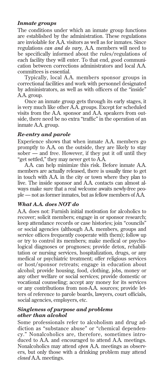## *Inmate groups*

The conditions under which an inmate group functions are established by the administration. These regulations are inviolable for A.A. visitors as well as for inmates. Since regulations *can and do vary,* A.A. members will need to be specifically informed about the rules/regulations of each facility they will enter. To that end, good communication between corrections administrators and local A.A. committees is essential.

Typically, local A.A. members sponsor groups in correctional facilities and work with personnel designated by administrators, as well as with officers of the "inside" A.A. group.

Once an inmate group gets through its early stages, it is very much like other A.A. groups. Except for scheduled visits from the A.A. sponsor and A.A. speakers from outside, there need be no extra "traffic" in the operation of an inmate A.A. group.

## *Re-entry and parole*

Experience shows that when inmate A.A. members go promptly to A.A. on the outside, they are likely to stay sober — and free. However, if they put it off until they "get settled," they may never get to A.A.

A.A. can help minimize this risk. Before inmate A.A. members are actually released, there is usually time to get in touch with A.A. in the city or town where they plan to live. The inside sponsor and A.A. contacts can almost always make sure that a real welcome awaits newly-free people — not as former inmates, but as fellow members of A.A.

## *What A.A. does NOT do*

A.A. does not: Furnish initial motivation for alcoholics to recover; solicit members; engage in or sponsor research; keep attendance records or case histories; join "councils" or social agencies (although A.A. members, groups and service offices frequently cooperate with them); follow up or try to control its members; make medical or psychological diagnoses or prognoses; provide detox, rehabilitation or nursing services, hospitalization, drugs, or any medical or psychiatric treatment; offer religious services or host/sponsor retreats; engage in education about alcohol; provide housing, food, clothing, jobs, money or any other welfare or social services; provide domestic or vocational counseling; accept any money for its services or any contributions from non-A.A. sources; provide letters of reference to parole boards, lawyers, court officials, social agencies, employers, etc.

### *Singleness of purpose and problems other than alcohol*

Some professionals refer to alcoholism and drug addiction as "substance abuse" or "chemical dependency." Nonalcoholics are, therefore, sometimes introduced to A.A. and encouraged to attend A.A. meetings. Nonalcoholics may attend *open* A.A. meetings as observers, but only those with a drinking problem may attend *closed* A.A. meetings.